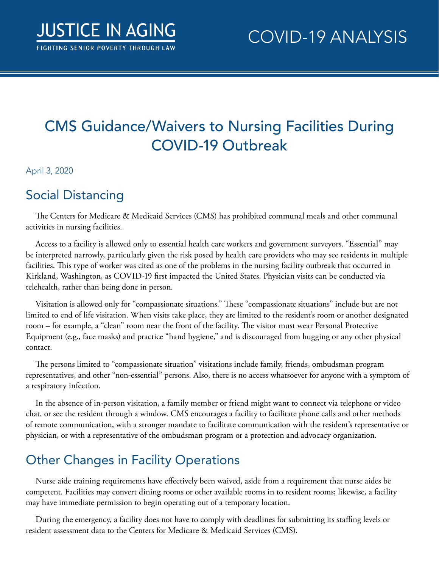# CMS Guidance/Waivers to Nursing Facilities During COVID-19 Outbreak

#### April 3, 2020

#### Social Distancing

The Centers for Medicare & Medicaid Services (CMS) has prohibited communal meals and other communal activities in nursing facilities.

Access to a facility is allowed only to essential health care workers and government surveyors. "Essential" may be interpreted narrowly, particularly given the risk posed by health care providers who may see residents in multiple facilities. This type of worker was cited as one of the problems in the nursing facility outbreak that occurred in Kirkland, Washington, as COVID-19 first impacted the United States. Physician visits can be conducted via telehealth, rather than being done in person.

Visitation is allowed only for "compassionate situations." These "compassionate situations" include but are not limited to end of life visitation. When visits take place, they are limited to the resident's room or another designated room – for example, a "clean" room near the front of the facility. The visitor must wear Personal Protective Equipment (e.g., face masks) and practice "hand hygiene," and is discouraged from hugging or any other physical contact.

The persons limited to "compassionate situation" visitations include family, friends, ombudsman program representatives, and other "non-essential" persons. Also, there is no access whatsoever for anyone with a symptom of a respiratory infection.

In the absence of in-person visitation, a family member or friend might want to connect via telephone or video chat, or see the resident through a window. CMS encourages a facility to facilitate phone calls and other methods of remote communication, with a stronger mandate to facilitate communication with the resident's representative or physician, or with a representative of the ombudsman program or a protection and advocacy organization.

## Other Changes in Facility Operations

Nurse aide training requirements have effectively been waived, aside from a requirement that nurse aides be competent. Facilities may convert dining rooms or other available rooms in to resident rooms; likewise, a facility may have immediate permission to begin operating out of a temporary location.

During the emergency, a facility does not have to comply with deadlines for submitting its staffing levels or resident assessment data to the Centers for Medicare & Medicaid Services (CMS).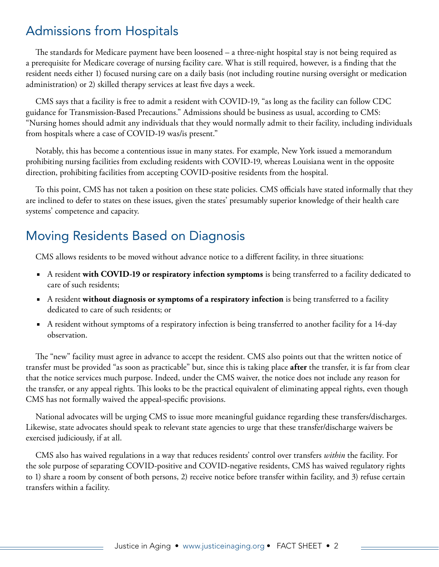#### Admissions from Hospitals

The standards for Medicare payment have been loosened – a three-night hospital stay is not being required as a prerequisite for Medicare coverage of nursing facility care. What is still required, however, is a finding that the resident needs either 1) focused nursing care on a daily basis (not including routine nursing oversight or medication administration) or 2) skilled therapy services at least five days a week.

CMS says that a facility is free to admit a resident with COVID-19, "as long as the facility can follow CDC guidance for Transmission-Based Precautions." Admissions should be business as usual, according to CMS: "Nursing homes should admit any individuals that they would normally admit to their facility, including individuals from hospitals where a case of COVID-19 was/is present."

Notably, this has become a contentious issue in many states. For example, New York issued a memorandum prohibiting nursing facilities from excluding residents with COVID-19, whereas Louisiana went in the opposite direction, prohibiting facilities from accepting COVID-positive residents from the hospital.

To this point, CMS has not taken a position on these state policies. CMS officials have stated informally that they are inclined to defer to states on these issues, given the states' presumably superior knowledge of their health care systems' competence and capacity.

### Moving Residents Based on Diagnosis

CMS allows residents to be moved without advance notice to a different facility, in three situations:

- A resident **with COVID-19 or respiratory infection symptoms** is being transferred to a facility dedicated to care of such residents;
- A resident **without diagnosis or symptoms of a respiratory infection** is being transferred to a facility dedicated to care of such residents; or
- A resident without symptoms of a respiratory infection is being transferred to another facility for a 14-day observation.

The "new" facility must agree in advance to accept the resident. CMS also points out that the written notice of transfer must be provided "as soon as practicable" but, since this is taking place **after** the transfer, it is far from clear that the notice services much purpose. Indeed, under the CMS waiver, the notice does not include any reason for the transfer, or any appeal rights. This looks to be the practical equivalent of eliminating appeal rights, even though CMS has not formally waived the appeal-specific provisions.

National advocates will be urging CMS to issue more meaningful guidance regarding these transfers/discharges. Likewise, state advocates should speak to relevant state agencies to urge that these transfer/discharge waivers be exercised judiciously, if at all.

CMS also has waived regulations in a way that reduces residents' control over transfers *within* the facility. For the sole purpose of separating COVID-positive and COVID-negative residents, CMS has waived regulatory rights to 1) share a room by consent of both persons, 2) receive notice before transfer within facility, and 3) refuse certain transfers within a facility.